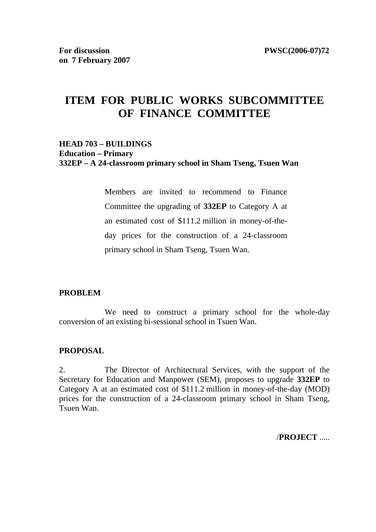# **ITEM FOR PUBLIC WORKS SUBCOMMITTEE OF FINANCE COMMITTEE**

### **HEAD 703 – BUILDINGS Education – Primary 332EP – A 24-classroom primary school in Sham Tseng, Tsuen Wan**

Members are invited to recommend to Finance Committee the upgrading of **332EP** to Category A at an estimated cost of \$111.2 million in money-of-theday prices for the construction of a 24-classroom primary school in Sham Tseng, Tsuen Wan.

### **PROBLEM**

We need to construct a primary school for the whole-day conversion of an existing bi-sessional school in Tsuen Wan.

#### **PROPOSAL**

2. The Director of Architectural Services, with the support of the Secretary for Education and Manpower (SEM), proposes to upgrade **332EP** to Category A at an estimated cost of \$111.2 million in money-of-the-day (MOD) prices for the construction of a 24-classroom primary school in Sham Tseng, Tsuen Wan.

/**PROJECT** .....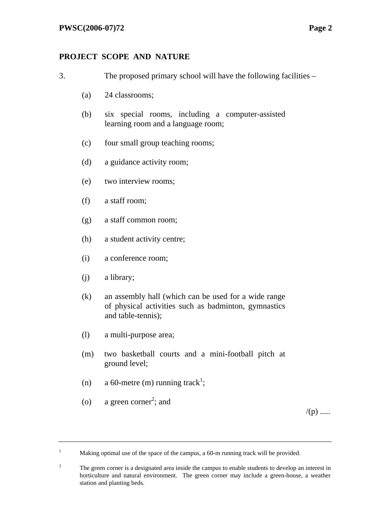## **PROJECT SCOPE AND NATURE**

- 3. The proposed primary school will have the following facilities
	- (a) 24 classrooms;
	- (b) six special rooms, including a computer-assisted learning room and a language room;
	- (c) four small group teaching rooms;
	- (d) a guidance activity room;
	- (e) two interview rooms;
	- (f) a staff room;
	- (g) a staff common room;
	- (h) a student activity centre;
	- (i) a conference room;
	- (j) a library;
	- (k) an assembly hall (which can be used for a wide range of physical activities such as badminton, gymnastics and table-tennis);
	- (l) a multi-purpose area;
	- (m) two basketball courts and a mini-football pitch at ground level;
	- (n) a 60-metre (m) running track<sup>1</sup>;
	- (o) a green corner<sup>2</sup>; and

 $/(p)$  .....

<sup>1</sup> Making optimal use of the space of the campus, a 60-m running track will be provided.

<sup>2</sup> The green corner is a designated area inside the campus to enable students to develop an interest in horticulture and natural environment. The green corner may include a green-house, a weather station and planting beds.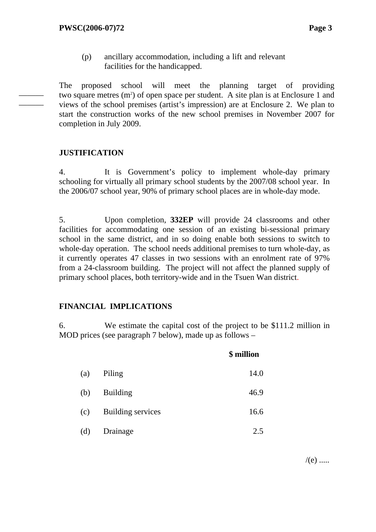(p) ancillary accommodation, including a lift and relevant facilities for the handicapped.

The proposed school will meet the planning target of providing two square metres  $(m<sup>2</sup>)$  of open space per student. A site plan is at Enclosure 1 and views of the school premises (artist's impression) are at Enclosure 2. We plan to start the construction works of the new school premises in November 2007 for completion in July 2009.

### **JUSTIFICATION**

——— ———

> 4. It is Government's policy to implement whole-day primary schooling for virtually all primary school students by the 2007/08 school year. In the 2006/07 school year, 90% of primary school places are in whole-day mode.

> 5. Upon completion, **332EP** will provide 24 classrooms and other facilities for accommodating one session of an existing bi-sessional primary school in the same district, and in so doing enable both sessions to switch to whole-day operation. The school needs additional premises to turn whole-day, as it currently operates 47 classes in two sessions with an enrolment rate of 97% from a 24-classroom building. The project will not affect the planned supply of primary school places, both territory-wide and in the Tsuen Wan district.

### **FINANCIAL IMPLICATIONS**

6. We estimate the capital cost of the project to be \$111.2 million in MOD prices (see paragraph 7 below), made up as follows –

|     |                   | \$ million |
|-----|-------------------|------------|
| (a) | Piling            | 14.0       |
| (b) | <b>Building</b>   | 46.9       |
| (c) | Building services | 16.6       |
| (d) | Drainage          | 2.5        |

 $/(e)$  .....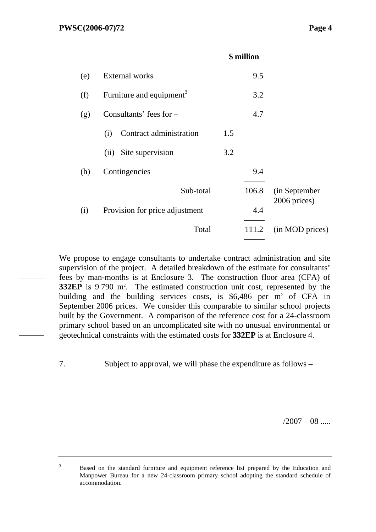———

———

### **\$ million**

| (e) | <b>External works</b>                |     | 9.5   |                               |
|-----|--------------------------------------|-----|-------|-------------------------------|
| (f) | Furniture and equipment <sup>3</sup> |     | 3.2   |                               |
| (g) | Consultants' fees for $-$            |     | 4.7   |                               |
|     | Contract administration<br>(i)       | 1.5 |       |                               |
|     | Site supervision<br>(ii)             | 3.2 |       |                               |
| (h) | Contingencies                        |     | 9.4   |                               |
|     | Sub-total                            |     | 106.8 | (in September<br>2006 prices) |
| (i) | Provision for price adjustment       |     | 4.4   |                               |
|     | Total                                |     | 111.2 | (in MOD prices)               |
|     |                                      |     |       |                               |

We propose to engage consultants to undertake contract administration and site supervision of the project. A detailed breakdown of the estimate for consultants' fees by man-months is at Enclosure 3. The construction floor area (CFA) of **332EP** is 9 790 m<sup>2</sup>. The estimated construction unit cost, represented by the building and the building services costs, is  $$6,486$  per m<sup>2</sup> of CFA in September 2006 prices. We consider this comparable to similar school projects built by the Government. A comparison of the reference cost for a 24-classroom primary school based on an uncomplicated site with no unusual environmental or geotechnical constraints with the estimated costs for **332EP** is at Enclosure 4.

7. Subject to approval, we will phase the expenditure as follows –

 $/2007 - 08$  .....

3 Based on the standard furniture and equipment reference list prepared by the Education and Manpower Bureau for a new 24-classroom primary school adopting the standard schedule of accommodation.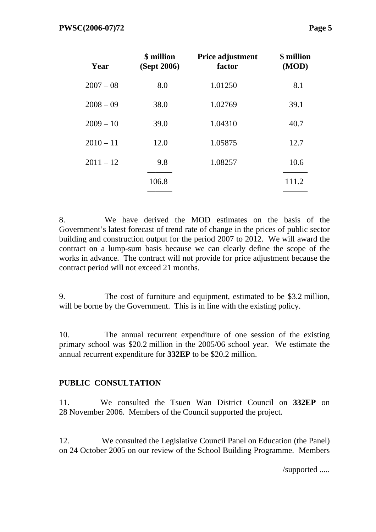| Year        | \$ million<br>(Sept 2006) | Price adjustment<br>factor | \$ million<br>(MOD) |
|-------------|---------------------------|----------------------------|---------------------|
| $2007 - 08$ | 8.0                       | 1.01250                    | 8.1                 |
| $2008 - 09$ | 38.0                      | 1.02769                    | 39.1                |
| $2009 - 10$ | 39.0                      | 1.04310                    | 40.7                |
| $2010 - 11$ | 12.0                      | 1.05875                    | 12.7                |
| $2011 - 12$ | 9.8                       | 1.08257                    | 10.6                |
|             | 106.8                     |                            | 111.2               |

8. We have derived the MOD estimates on the basis of the Government's latest forecast of trend rate of change in the prices of public sector building and construction output for the period 2007 to 2012. We will award the contract on a lump-sum basis because we can clearly define the scope of the works in advance. The contract will not provide for price adjustment because the contract period will not exceed 21 months.

9. The cost of furniture and equipment, estimated to be \$3.2 million, will be borne by the Government. This is in line with the existing policy.

10. The annual recurrent expenditure of one session of the existing primary school was \$20.2 million in the 2005/06 school year. We estimate the annual recurrent expenditure for **332EP** to be \$20.2 million.

### **PUBLIC CONSULTATION**

11. We consulted the Tsuen Wan District Council on **332EP** on 28 November 2006. Members of the Council supported the project.

12. We consulted the Legislative Council Panel on Education (the Panel) on 24 October 2005 on our review of the School Building Programme. Members

/supported .....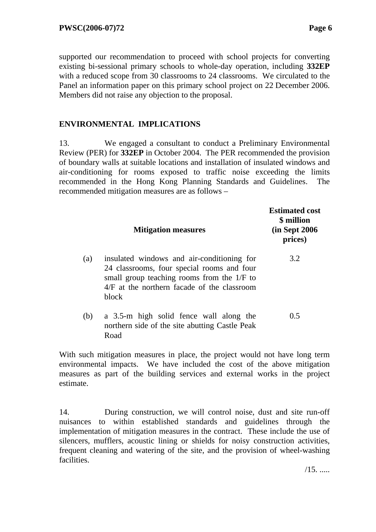supported our recommendation to proceed with school projects for converting existing bi-sessional primary schools to whole-day operation, including **332EP** with a reduced scope from 30 classrooms to 24 classrooms. We circulated to the Panel an information paper on this primary school project on 22 December 2006. Members did not raise any objection to the proposal.

### **ENVIRONMENTAL IMPLICATIONS**

13. We engaged a consultant to conduct a Preliminary Environmental Review (PER) for **332EP** in October 2004. The PER recommended the provision of boundary walls at suitable locations and installation of insulated windows and air-conditioning for rooms exposed to traffic noise exceeding the limits recommended in the Hong Kong Planning Standards and Guidelines. The recommended mitigation measures are as follows –

|     | <b>Mitigation measures</b>                                                                                                                                                                       | <b>Estimated cost</b><br>\$ million<br>(in Sept 2006)<br>prices) |
|-----|--------------------------------------------------------------------------------------------------------------------------------------------------------------------------------------------------|------------------------------------------------------------------|
| (a) | insulated windows and air-conditioning for<br>24 classrooms, four special rooms and four<br>small group teaching rooms from the 1/F to<br>$4/F$ at the northern facade of the classroom<br>block | 3.2                                                              |
| (b) | a 3.5-m high solid fence wall along the<br>northern side of the site abutting Castle Peak<br>Road                                                                                                | 0.5                                                              |

With such mitigation measures in place, the project would not have long term environmental impacts. We have included the cost of the above mitigation measures as part of the building services and external works in the project estimate.

14. During construction, we will control noise, dust and site run-off nuisances to within established standards and guidelines through the implementation of mitigation measures in the contract. These include the use of silencers, mufflers, acoustic lining or shields for noisy construction activities, frequent cleaning and watering of the site, and the provision of wheel-washing facilities.

 $/15.$  .....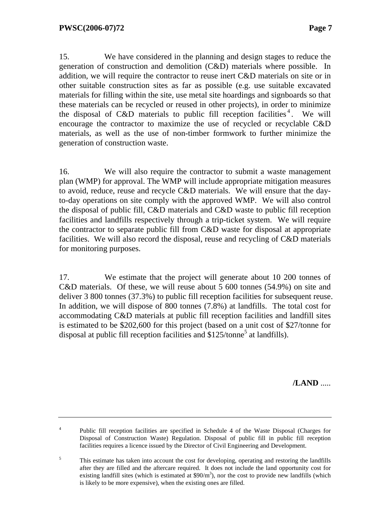15. We have considered in the planning and design stages to reduce the generation of construction and demolition (C&D) materials where possible. In addition, we will require the contractor to reuse inert C&D materials on site or in other suitable construction sites as far as possible (e.g. use suitable excavated materials for filling within the site, use metal site hoardings and signboards so that these materials can be recycled or reused in other projects), in order to minimize the disposal of C&D materials to public fill reception facilities<sup>4</sup>. We will encourage the contractor to maximize the use of recycled or recyclable C&D materials, as well as the use of non-timber formwork to further minimize the generation of construction waste.

16. We will also require the contractor to submit a waste management plan (WMP) for approval. The WMP will include appropriate mitigation measures to avoid, reduce, reuse and recycle C&D materials. We will ensure that the dayto-day operations on site comply with the approved WMP. We will also control the disposal of public fill, C&D materials and C&D waste to public fill reception facilities and landfills respectively through a trip-ticket system. We will require the contractor to separate public fill from C&D waste for disposal at appropriate facilities. We will also record the disposal, reuse and recycling of C&D materials for monitoring purposes.

17. We estimate that the project will generate about 10 200 tonnes of C&D materials. Of these, we will reuse about 5 600 tonnes (54.9%) on site and deliver 3 800 tonnes (37.3%) to public fill reception facilities for subsequent reuse. In addition, we will dispose of 800 tonnes (7.8%) at landfills. The total cost for accommodating C&D materials at public fill reception facilities and landfill sites is estimated to be \$202,600 for this project (based on a unit cost of \$27/tonne for disposal at public fill reception facilities and  $$125/tonne<sup>5</sup>$  at landfills).

**/LAND** .....

<sup>&</sup>lt;sup>4</sup> Public fill reception facilities are specified in Schedule 4 of the Waste Disposal (Charges for Disposal of Construction Waste) Regulation. Disposal of public fill in public fill reception facilities requires a licence issued by the Director of Civil Engineering and Development.

<sup>5</sup> This estimate has taken into account the cost for developing, operating and restoring the landfills after they are filled and the aftercare required. It does not include the land opportunity cost for existing landfill sites (which is estimated at  $$90/m<sup>3</sup>$ ), nor the cost to provide new landfills (which is likely to be more expensive), when the existing ones are filled.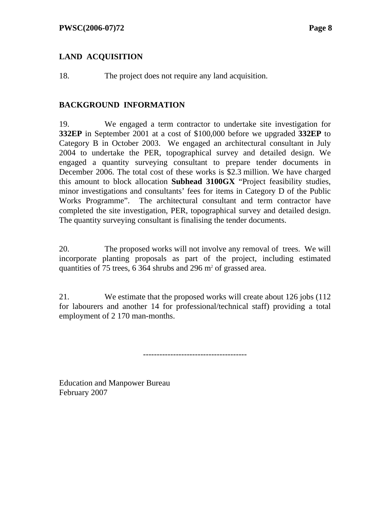### **LAND ACQUISITION**

18. The project does not require any land acquisition.

### **BACKGROUND INFORMATION**

19. We engaged a term contractor to undertake site investigation for **332EP** in September 2001 at a cost of \$100,000 before we upgraded **332EP** to Category B in October 2003. We engaged an architectural consultant in July 2004 to undertake the PER, topographical survey and detailed design. We engaged a quantity surveying consultant to prepare tender documents in December 2006. The total cost of these works is \$2.3 million. We have charged this amount to block allocation **Subhead 3100GX** "Project feasibility studies, minor investigations and consultants' fees for items in Category D of the Public Works Programme". The architectural consultant and term contractor have completed the site investigation, PER, topographical survey and detailed design. The quantity surveying consultant is finalising the tender documents.

20. The proposed works will not involve any removal of trees. We will incorporate planting proposals as part of the project, including estimated quantities of 75 trees,  $6\,364$  shrubs and 296 m<sup>2</sup> of grassed area.

21. We estimate that the proposed works will create about 126 jobs (112 for labourers and another 14 for professional/technical staff) providing a total employment of 2 170 man-months.

--------------------------------------

Education and Manpower Bureau February 2007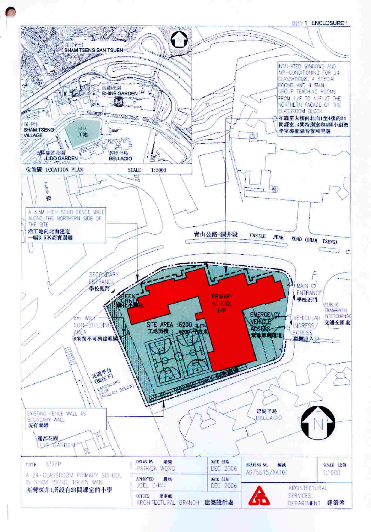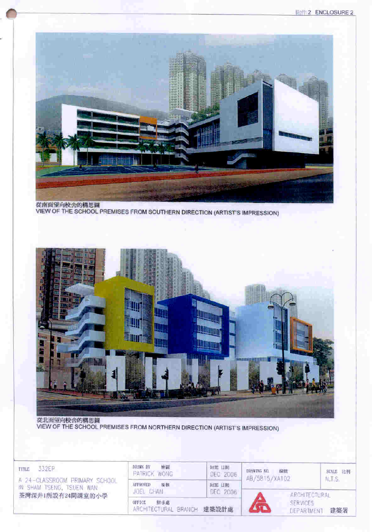

從南面望向校舍的構思圖 VIEW OF THE SCHOOL PREMISES FROM SOUTHERN DIRECTION (ARTIST'S IMPRESSION)



從北面望向校舍的構思圖 VIEW OF THE SCHOOL PREMISES FROM NORTHERN DIRECTION (ARTIST'S IMPRESSION)

332EP TITLE

A 24-CLASSROOM PRIMARY SCHOOL IN SHAM TSENG, TSUEN WAN 荃灣深井1所設有24間課室的小學

| 给量<br>DRAWN BY<br>PATRICK WONG                     | DATE LINE<br>DEC 2006 | DRAWING NO.<br>指題<br>AB/5815/XA102 | SCALE 比例<br>N.T.S. |
|----------------------------------------------------|-----------------------|------------------------------------|--------------------|
| <b>APPROVED</b><br>提核<br>JOEL CHAN                 | BATE LINE<br>DEC 2006 |                                    | ARCHITECTURAL      |
| <b>UFFICE</b><br>银事處<br>ARCHITECTURAL BRANCH 建築設計處 |                       | <b>SERVICES</b><br>DEPARTMENT      | 建築署                |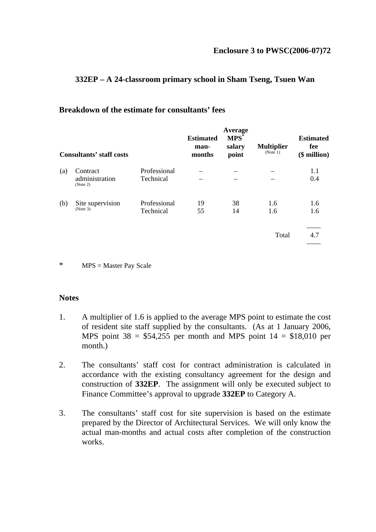### **332EP – A 24-classroom primary school in Sham Tseng, Tsuen Wan**

### **Breakdown of the estimate for consultants' fees**

| <b>Consultants' staff costs</b> |                                        | <b>Estimated</b><br>man-<br>months | Average<br>$MPS^*$<br>salary<br>point | <b>Multiplier</b><br>(Note 1) | <b>Estimated</b><br>fee<br>(\$ million) |            |
|---------------------------------|----------------------------------------|------------------------------------|---------------------------------------|-------------------------------|-----------------------------------------|------------|
| (a)                             | Contract<br>administration<br>(Note 2) | Professional<br>Technical          |                                       |                               |                                         | 1.1<br>0.4 |
| (b)                             | Site supervision<br>(Note 3)           | Professional<br>Technical          | 19<br>55                              | 38<br>14                      | 1.6<br>1.6                              | 1.6<br>1.6 |
|                                 |                                        |                                    |                                       |                               | Total                                   | 4.7        |

\* MPS = Master Pay Scale

#### **Notes**

- 1. A multiplier of 1.6 is applied to the average MPS point to estimate the cost of resident site staff supplied by the consultants. (As at 1 January 2006, MPS point  $38 = $54,255$  per month and MPS point  $14 = $18,010$  per month.)
- 2. The consultants' staff cost for contract administration is calculated in accordance with the existing consultancy agreement for the design and construction of **332EP**. The assignment will only be executed subject to Finance Committee's approval to upgrade **332EP** to Category A.
- 3. The consultants' staff cost for site supervision is based on the estimate prepared by the Director of Architectural Services. We will only know the actual man-months and actual costs after completion of the construction works.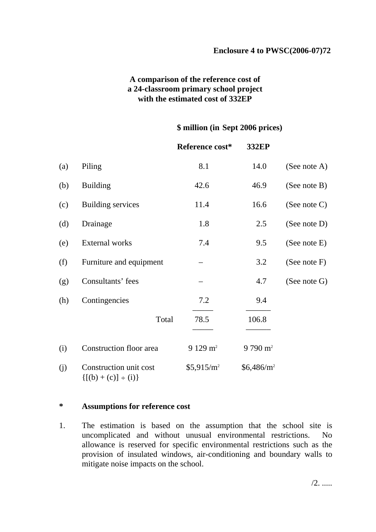### **A comparison of the reference cost of a 24-classroom primary school project with the estimated cost of 332EP**

#### **\$ million (in Sept 2006 prices)**

|     |                                                       | Reference cost*        | 332EP              |                 |
|-----|-------------------------------------------------------|------------------------|--------------------|-----------------|
| (a) | Piling                                                | 8.1                    | 14.0               | (See note A)    |
| (b) | <b>Building</b>                                       | 42.6                   | 46.9               | (See note B)    |
| (c) | <b>Building services</b>                              | 11.4                   | 16.6               | (See note $C$ ) |
| (d) | Drainage                                              | 1.8                    | 2.5                | (See note D)    |
| (e) | External works                                        | 7.4                    | 9.5                | (See note E)    |
| (f) | Furniture and equipment                               |                        | 3.2                | (See note $F$ ) |
| (g) | Consultants' fees                                     |                        | 4.7                | (See note G)    |
| (h) | Contingencies                                         | 7.2                    | 9.4                |                 |
|     | Total                                                 | 78.5                   | 106.8              |                 |
| (i) | Construction floor area                               | $9129 \text{ m}^2$     | $9790 \text{ m}^2$ |                 |
| (j) | Construction unit cost<br>$\{[(b) + (c)] \div (i)\}\$ | \$5,915/m <sup>2</sup> | $$6,486/m^2$$      |                 |

#### **\* Assumptions for reference cost**

1. The estimation is based on the assumption that the school site is uncomplicated and without unusual environmental restrictions. No allowance is reserved for specific environmental restrictions such as the provision of insulated windows, air-conditioning and boundary walls to mitigate noise impacts on the school.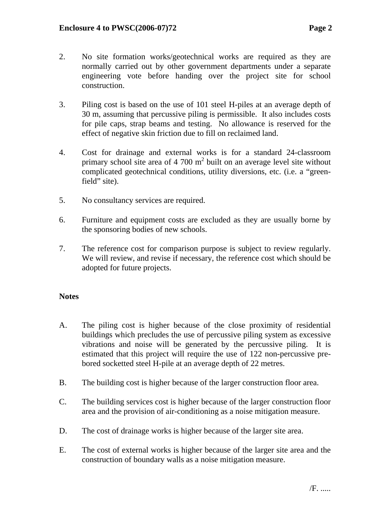- 2. No site formation works/geotechnical works are required as they are normally carried out by other government departments under a separate engineering vote before handing over the project site for school construction.
- 3. Piling cost is based on the use of 101 steel H-piles at an average depth of 30 m, assuming that percussive piling is permissible. It also includes costs for pile caps, strap beams and testing. No allowance is reserved for the effect of negative skin friction due to fill on reclaimed land.
- 4. Cost for drainage and external works is for a standard 24-classroom primary school site area of 4 700  $m<sup>2</sup>$  built on an average level site without complicated geotechnical conditions, utility diversions, etc. (i.e. a "greenfield" site).
- 5. No consultancy services are required.
- 6. Furniture and equipment costs are excluded as they are usually borne by the sponsoring bodies of new schools.
- 7. The reference cost for comparison purpose is subject to review regularly. We will review, and revise if necessary, the reference cost which should be adopted for future projects.

### **Notes**

- A. The piling cost is higher because of the close proximity of residential buildings which precludes the use of percussive piling system as excessive vibrations and noise will be generated by the percussive piling. It is estimated that this project will require the use of 122 non-percussive prebored socketted steel H-pile at an average depth of 22 metres.
- B. The building cost is higher because of the larger construction floor area.
- C. The building services cost is higher because of the larger construction floor area and the provision of air-conditioning as a noise mitigation measure.
- D. The cost of drainage works is higher because of the larger site area.
- E. The cost of external works is higher because of the larger site area and the construction of boundary walls as a noise mitigation measure.